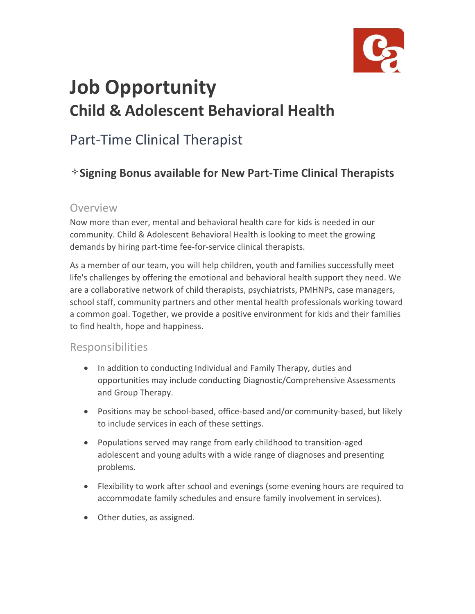

# **Job Opportunity Child & Adolescent Behavioral Health**

## Part-Time Clinical Therapist

### **Signing Bonus available for New Part-Time Clinical Therapists**

#### Overview

Now more than ever, mental and behavioral health care for kids is needed in our community. Child & Adolescent Behavioral Health is looking to meet the growing demands by hiring part-time fee-for-service clinical therapists.

As a member of our team, you will help children, youth and families successfully meet life's challenges by offering the emotional and behavioral health support they need. We are a collaborative network of child therapists, psychiatrists, PMHNPs, case managers, school staff, community partners and other mental health professionals working toward a common goal. Together, we provide a positive environment for kids and their families to find health, hope and happiness.

#### Responsibilities

- In addition to conducting Individual and Family Therapy, duties and opportunities may include conducting Diagnostic/Comprehensive Assessments and Group Therapy.
- Positions may be school-based, office-based and/or community-based, but likely to include services in each of these settings.
- Populations served may range from early childhood to transition-aged adolescent and young adults with a wide range of diagnoses and presenting problems.
- Flexibility to work after school and evenings (some evening hours are required to accommodate family schedules and ensure family involvement in services).
- Other duties, as assigned.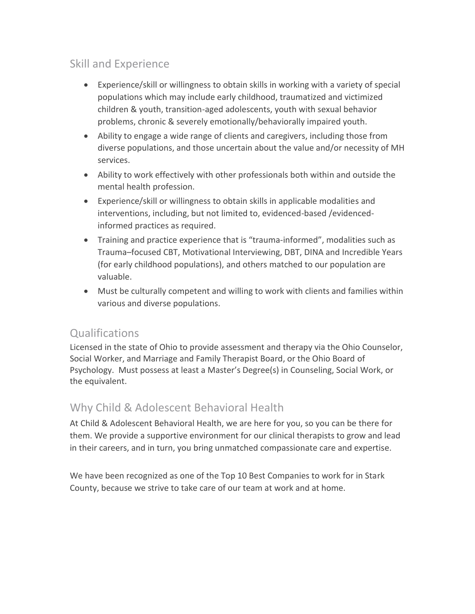#### Skill and Experience

- Experience/skill or willingness to obtain skills in working with a variety of special populations which may include early childhood, traumatized and victimized children & youth, transition-aged adolescents, youth with sexual behavior problems, chronic & severely emotionally/behaviorally impaired youth.
- Ability to engage a wide range of clients and caregivers, including those from diverse populations, and those uncertain about the value and/or necessity of MH services.
- Ability to work effectively with other professionals both within and outside the mental health profession.
- Experience/skill or willingness to obtain skills in applicable modalities and interventions, including, but not limited to, evidenced-based /evidencedinformed practices as required.
- Training and practice experience that is "trauma-informed", modalities such as Trauma–focused CBT, Motivational Interviewing, DBT, DINA and Incredible Years (for early childhood populations), and others matched to our population are valuable.
- Must be culturally competent and willing to work with clients and families within various and diverse populations.

#### **Qualifications**

Licensed in the state of Ohio to provide assessment and therapy via the Ohio Counselor, Social Worker, and Marriage and Family Therapist Board, or the Ohio Board of Psychology. Must possess at least a Master's Degree(s) in Counseling, Social Work, or the equivalent.

#### Why Child & Adolescent Behavioral Health

At Child & Adolescent Behavioral Health, we are here for you, so you can be there for them. We provide a supportive environment for our clinical therapists to grow and lead in their careers, and in turn, you bring unmatched compassionate care and expertise.

We have been recognized as one of the Top 10 Best Companies to work for in Stark County, because we strive to take care of our team at work and at home.